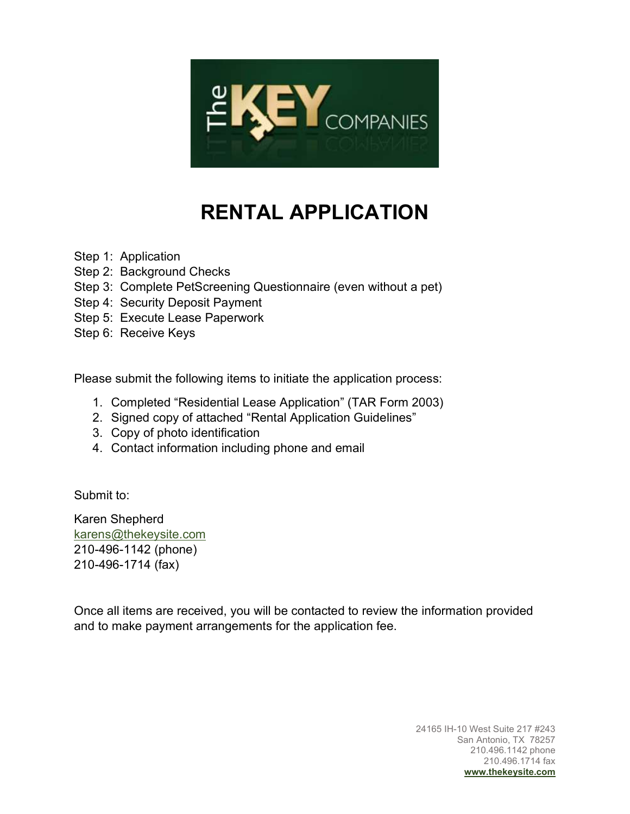

# RENTAL APPLICATION

Step 1: Application

- Step 2: Background Checks
- Step 3: Complete PetScreening Questionnaire (even without a pet)
- Step 4: Security Deposit Payment
- Step 5: Execute Lease Paperwork
- Step 6: Receive Keys

Please submit the following items to initiate the application process:

- 1. Completed "Residential Lease Application" (TAR Form 2003)
- 2. Signed copy of attached "Rental Application Guidelines"
- 3. Copy of photo identification
- 4. Contact information including phone and email

Submit to:

Karen Shepherd karens@thekeysite.com 210-496-1142 (phone) 210-496-1714 (fax)

Once all items are received, you will be contacted to review the information provided and to make payment arrangements for the application fee.

> 24165 IH-10 West Suite 217 #243 San Antonio, TX 78257 210.496.1142 phone 210.496.1714 fax www.thekeysite.com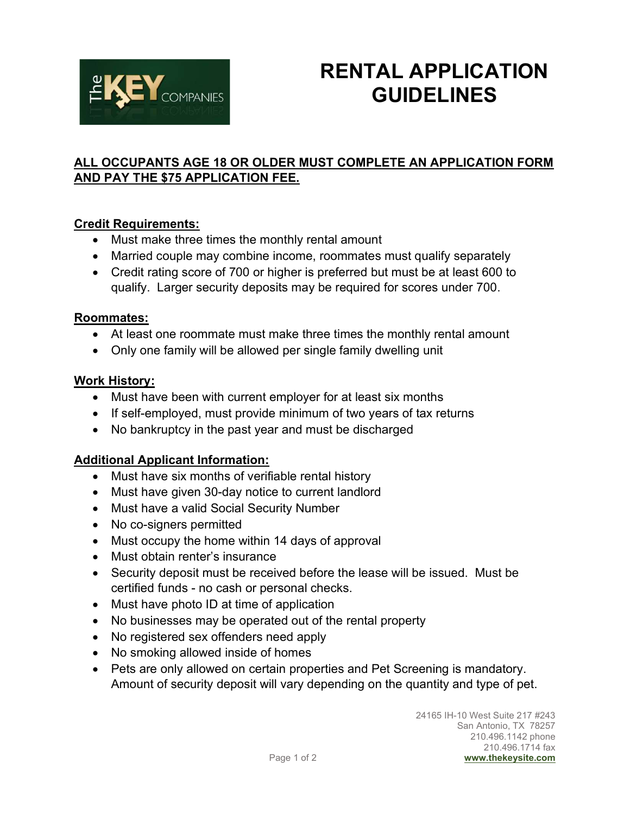

## RENTAL APPLICATION **GUIDELINES**

## ALL OCCUPANTS AGE 18 OR OLDER MUST COMPLETE AN APPLICATION FORM AND PAY THE \$75 APPLICATION FEE.

## Credit Requirements:

- Must make three times the monthly rental amount
- Married couple may combine income, roommates must qualify separately
- Credit rating score of 700 or higher is preferred but must be at least 600 to qualify. Larger security deposits may be required for scores under 700.

### Roommates:

- At least one roommate must make three times the monthly rental amount
- Only one family will be allowed per single family dwelling unit

### Work History:

- Must have been with current employer for at least six months
- If self-employed, must provide minimum of two years of tax returns
- No bankruptcy in the past year and must be discharged

## Additional Applicant Information:

- Must have six months of verifiable rental history
- Must have given 30-day notice to current landlord
- Must have a valid Social Security Number
- No co-signers permitted
- Must occupy the home within 14 days of approval
- Must obtain renter's insurance
- Security deposit must be received before the lease will be issued. Must be certified funds - no cash or personal checks.
- Must have photo ID at time of application
- No businesses may be operated out of the rental property
- No registered sex offenders need apply
- No smoking allowed inside of homes
- Pets are only allowed on certain properties and Pet Screening is mandatory. Amount of security deposit will vary depending on the quantity and type of pet.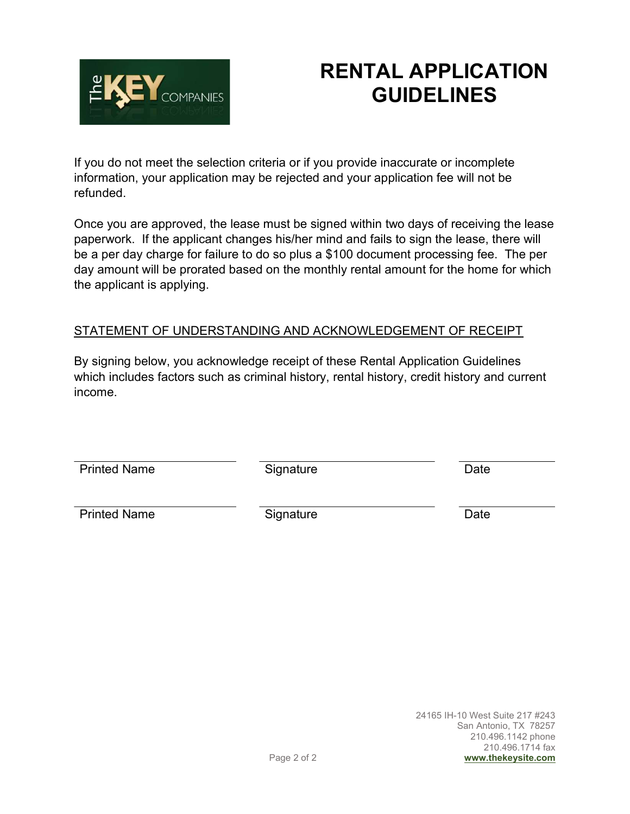

## RENTAL APPLICATION GUIDELINES

If you do not meet the selection criteria or if you provide inaccurate or incomplete information, your application may be rejected and your application fee will not be refunded.

Once you are approved, the lease must be signed within two days of receiving the lease paperwork. If the applicant changes his/her mind and fails to sign the lease, there will be a per day charge for failure to do so plus a \$100 document processing fee. The per day amount will be prorated based on the monthly rental amount for the home for which the applicant is applying.

## STATEMENT OF UNDERSTANDING AND ACKNOWLEDGEMENT OF RECEIPT

By signing below, you acknowledge receipt of these Rental Application Guidelines which includes factors such as criminal history, rental history, credit history and current income.

Printed Name Signature Signature Date

Printed Name Signature Signature Date